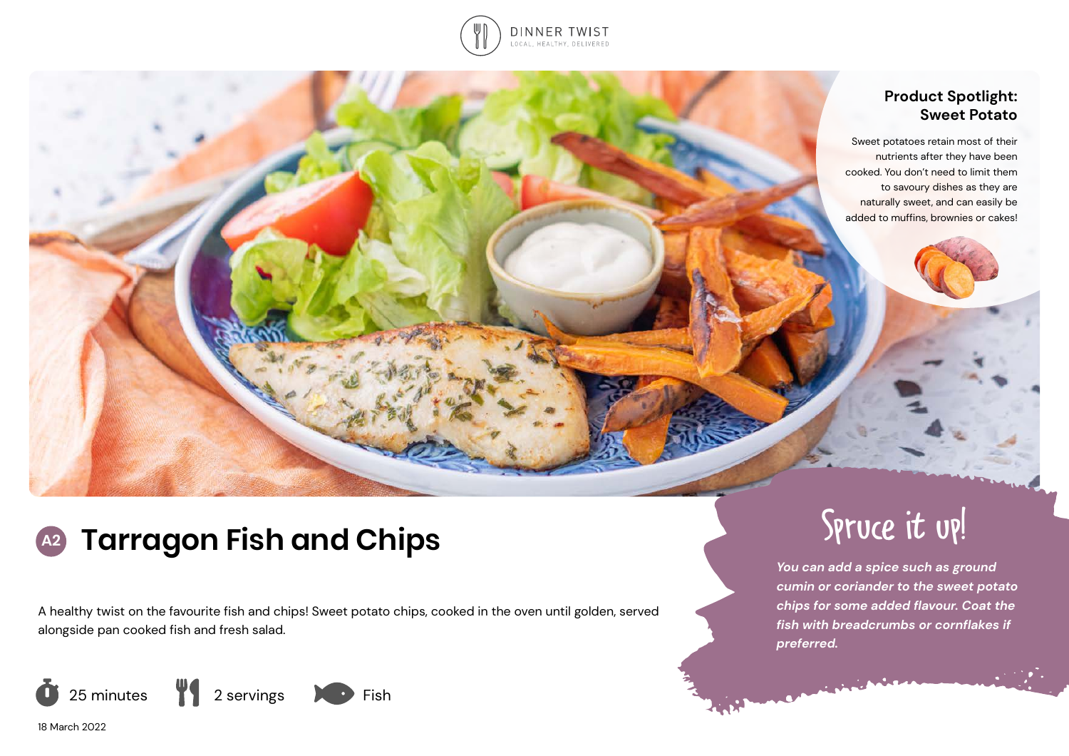

# **Product Spotlight: Sweet Potato**

Sweet potatoes retain most of their nutrients after they have been cooked. You don't need to limit them to savoury dishes as they are naturally sweet, and can easily be added to muffins, brownies or cakes!

# **A2 Tarragon Fish and Chips** Spruce it up!

A healthy twist on the favourite fish and chips! Sweet potato chips, cooked in the oven until golden, served alongside pan cooked fish and fresh salad.



*You can add a spice such as ground cumin or coriander to the sweet potato chips for some added flavour. Coat the fish with breadcrumbs or cornflakes if preferred.*

18 March 2022